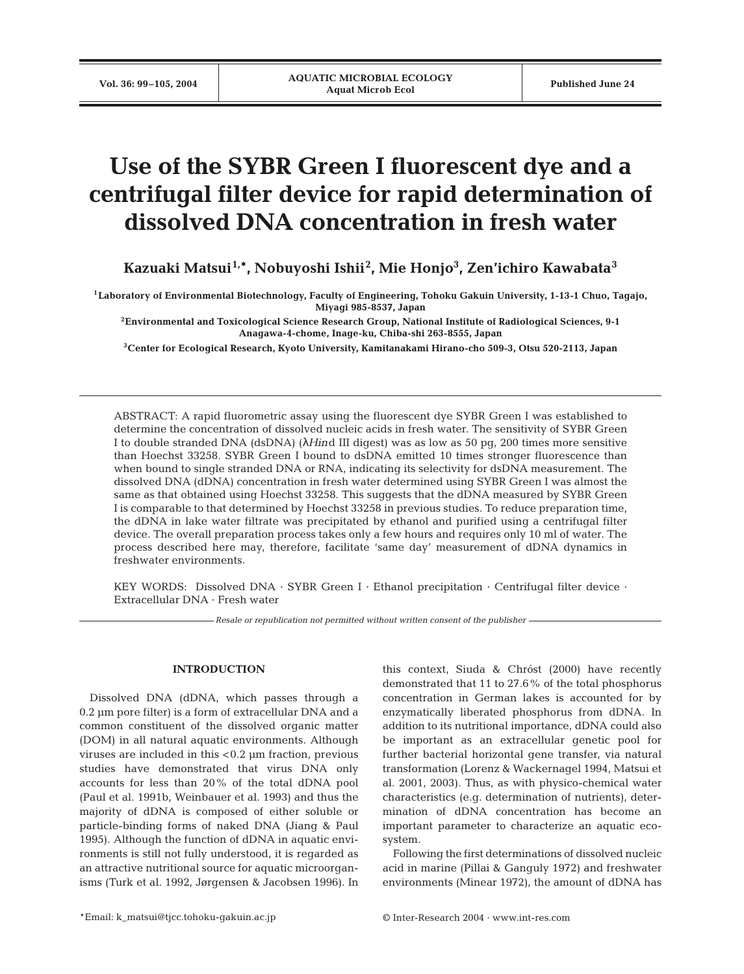# **Use of the SYBR Green I fluorescent dye and a centrifugal filter device for rapid determination of dissolved DNA concentration in fresh water**

**Kazuaki Matsui1,\*, Nobuyoshi Ishii2 , Mie Honjo3 , Zen'ichiro Kawabata<sup>3</sup>**

**1Laboratory of Environmental Biotechnology, Faculty of Engineering, Tohoku Gakuin University, 1-13-1 Chuo, Tagajo, Miyagi 985-8537, Japan**

**2Environmental and Toxicological Science Research Group, National Institute of Radiological Sciences, 9-1 Anagawa-4-chome, Inage-ku, Chiba-shi 263-8555, Japan**

**3Center for Ecological Research, Kyoto University, Kamitanakami Hirano-cho 509-3, Otsu 520-2113, Japan**

ABSTRACT: A rapid fluorometric assay using the fluorescent dye SYBR Green I was established to determine the concentration of dissolved nucleic acids in fresh water. The sensitivity of SYBR Green I to double stranded DNA (dsDNA) (λ*Hin*d III digest) was as low as 50 pg, 200 times more sensitive than Hoechst 33258. SYBR Green I bound to dsDNA emitted 10 times stronger fluorescence than when bound to single stranded DNA or RNA, indicating its selectivity for dsDNA measurement. The dissolved DNA (dDNA) concentration in fresh water determined using SYBR Green I was almost the same as that obtained using Hoechst 33258. This suggests that the dDNA measured by SYBR Green I is comparable to that determined by Hoechst 33258 in previous studies. To reduce preparation time, the dDNA in lake water filtrate was precipitated by ethanol and purified using a centrifugal filter device. The overall preparation process takes only a few hours and requires only 10 ml of water. The process described here may, therefore, facilitate 'same day' measurement of dDNA dynamics in freshwater environments.

KEY WORDS: Dissolved DNA · SYBR Green I · Ethanol precipitation · Centrifugal filter device · Extracellular DNA · Fresh water

*Resale or republication not permitted without written consent of the publisher*

### **INTRODUCTION**

Dissolved DNA (dDNA, which passes through a 0.2 µm pore filter) is a form of extracellular DNA and a common constituent of the dissolved organic matter (DOM) in all natural aquatic environments. Although viruses are included in this <0.2 µm fraction, previous studies have demonstrated that virus DNA only accounts for less than 20% of the total dDNA pool (Paul et al. 1991b, Weinbauer et al. 1993) and thus the majority of dDNA is composed of either soluble or particle-binding forms of naked DNA (Jiang & Paul 1995). Although the function of dDNA in aquatic environments is still not fully understood, it is regarded as an attractive nutritional source for aquatic microorganisms (Turk et al. 1992, Jørgensen & Jacobsen 1996). In

this context, Siuda & Chróst (2000) have recently demonstrated that 11 to 27.6% of the total phosphorus concentration in German lakes is accounted for by enzymatically liberated phosphorus from dDNA. In addition to its nutritional importance, dDNA could also be important as an extracellular genetic pool for further bacterial horizontal gene transfer, via natural transformation (Lorenz & Wackernagel 1994, Matsui et al. 2001, 2003). Thus, as with physico-chemical water characteristics (e.g. determination of nutrients), determination of dDNA concentration has become an important parameter to characterize an aquatic ecosystem.

Following the first determinations of dissolved nucleic acid in marine (Pillai & Ganguly 1972) and freshwater environments (Minear 1972), the amount of dDNA has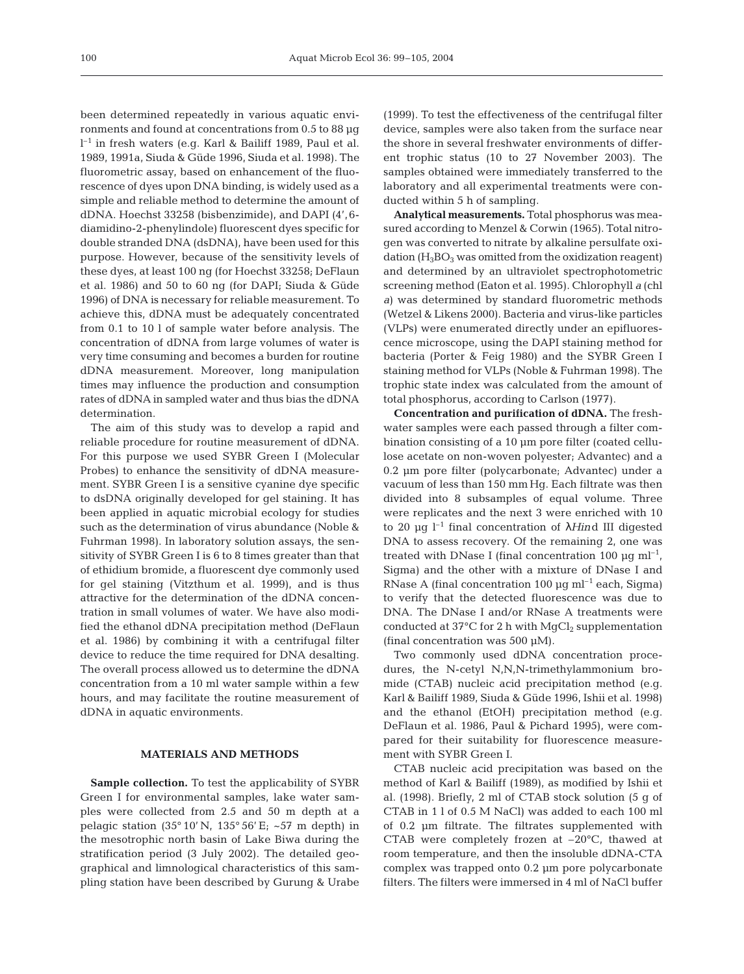been determined repeatedly in various aquatic environments and found at concentrations from 0.5 to 88 µg l –1 in fresh waters (e.g. Karl & Bailiff 1989, Paul et al. 1989, 1991a, Siuda & Güde 1996, Siuda et al. 1998). The fluorometric assay, based on enhancement of the fluorescence of dyes upon DNA binding, is widely used as a simple and reliable method to determine the amount of dDNA. Hoechst 33258 (bisbenzimide), and DAPI (4',6 diamidino-2-phenylindole) fluorescent dyes specific for double stranded DNA (dsDNA), have been used for this purpose. However, because of the sensitivity levels of these dyes, at least 100 ng (for Hoechst 33258; DeFlaun et al. 1986) and 50 to 60 ng (for DAPI; Siuda & Güde 1996) of DNA is necessary for reliable measurement. To achieve this, dDNA must be adequately concentrated from 0.1 to 10 l of sample water before analysis. The concentration of dDNA from large volumes of water is very time consuming and becomes a burden for routine dDNA measurement. Moreover, long manipulation times may influence the production and consumption rates of dDNA in sampled water and thus bias the dDNA determination.

The aim of this study was to develop a rapid and reliable procedure for routine measurement of dDNA. For this purpose we used SYBR Green I (Molecular Probes) to enhance the sensitivity of dDNA measurement. SYBR Green I is a sensitive cyanine dye specific to dsDNA originally developed for gel staining. It has been applied in aquatic microbial ecology for studies such as the determination of virus abundance (Noble & Fuhrman 1998). In laboratory solution assays, the sensitivity of SYBR Green I is 6 to 8 times greater than that of ethidium bromide, a fluorescent dye commonly used for gel staining (Vitzthum et al. 1999), and is thus attractive for the determination of the dDNA concentration in small volumes of water. We have also modified the ethanol dDNA precipitation method (DeFlaun et al. 1986) by combining it with a centrifugal filter device to reduce the time required for DNA desalting. The overall process allowed us to determine the dDNA concentration from a 10 ml water sample within a few hours, and may facilitate the routine measurement of dDNA in aquatic environments.

#### **MATERIALS AND METHODS**

**Sample collection.** To test the applicability of SYBR Green I for environmental samples, lake water samples were collected from 2.5 and 50 m depth at a pelagic station (35° 10' N, 135° 56' E; ~57 m depth) in the mesotrophic north basin of Lake Biwa during the stratification period (3 July 2002). The detailed geographical and limnological characteristics of this sampling station have been described by Gurung & Urabe (1999). To test the effectiveness of the centrifugal filter device, samples were also taken from the surface near the shore in several freshwater environments of different trophic status (10 to 27 November 2003). The samples obtained were immediately transferred to the laboratory and all experimental treatments were conducted within 5 h of sampling.

**Analytical measurements.** Total phosphorus was measured according to Menzel & Corwin (1965). Total nitrogen was converted to nitrate by alkaline persulfate oxidation  $(H_3BO_3$  was omitted from the oxidization reagent) and determined by an ultraviolet spectrophotometric screening method (Eaton et al. 1995). Chlorophyll *a* (chl *a*) was determined by standard fluorometric methods (Wetzel & Likens 2000). Bacteria and virus-like particles (VLPs) were enumerated directly under an epifluorescence microscope, using the DAPI staining method for bacteria (Porter & Feig 1980) and the SYBR Green I staining method for VLPs (Noble & Fuhrman 1998). The trophic state index was calculated from the amount of total phosphorus, according to Carlson (1977).

**Concentration and purification of dDNA.** The freshwater samples were each passed through a filter combination consisting of a 10 µm pore filter (coated cellulose acetate on non-woven polyester; Advantec) and a 0.2 µm pore filter (polycarbonate; Advantec) under a vacuum of less than 150 mm Hg. Each filtrate was then divided into 8 subsamples of equal volume. Three were replicates and the next 3 were enriched with 10 to 20 µg l–1 final concentration of λ*Hin*d III digested DNA to assess recovery. Of the remaining 2, one was treated with DNase I (final concentration 100  $\mu$ g ml<sup>-1</sup>, Sigma) and the other with a mixture of DNase I and RNase A (final concentration 100  $\mu$ g ml<sup>-1</sup> each, Sigma) to verify that the detected fluorescence was due to DNA. The DNase I and/or RNase A treatments were conducted at  $37^{\circ}$ C for 2 h with MgCl<sub>2</sub> supplementation (final concentration was 500 µM).

Two commonly used dDNA concentration procedures, the N-cetyl N,N,N-trimethylammonium bromide (CTAB) nucleic acid precipitation method (e.g. Karl & Bailiff 1989, Siuda & Güde 1996, Ishii et al. 1998) and the ethanol (EtOH) precipitation method (e.g. DeFlaun et al. 1986, Paul & Pichard 1995), were compared for their suitability for fluorescence measurement with SYBR Green I.

CTAB nucleic acid precipitation was based on the method of Karl & Bailiff (1989), as modified by Ishii et al. (1998). Briefly, 2 ml of CTAB stock solution (5 g of CTAB in 1 l of 0.5 M NaCl) was added to each 100 ml of 0.2 µm filtrate. The filtrates supplemented with CTAB were completely frozen at –20°C, thawed at room temperature, and then the insoluble dDNA-CTA complex was trapped onto 0.2 µm pore polycarbonate filters. The filters were immersed in 4 ml of NaCl buffer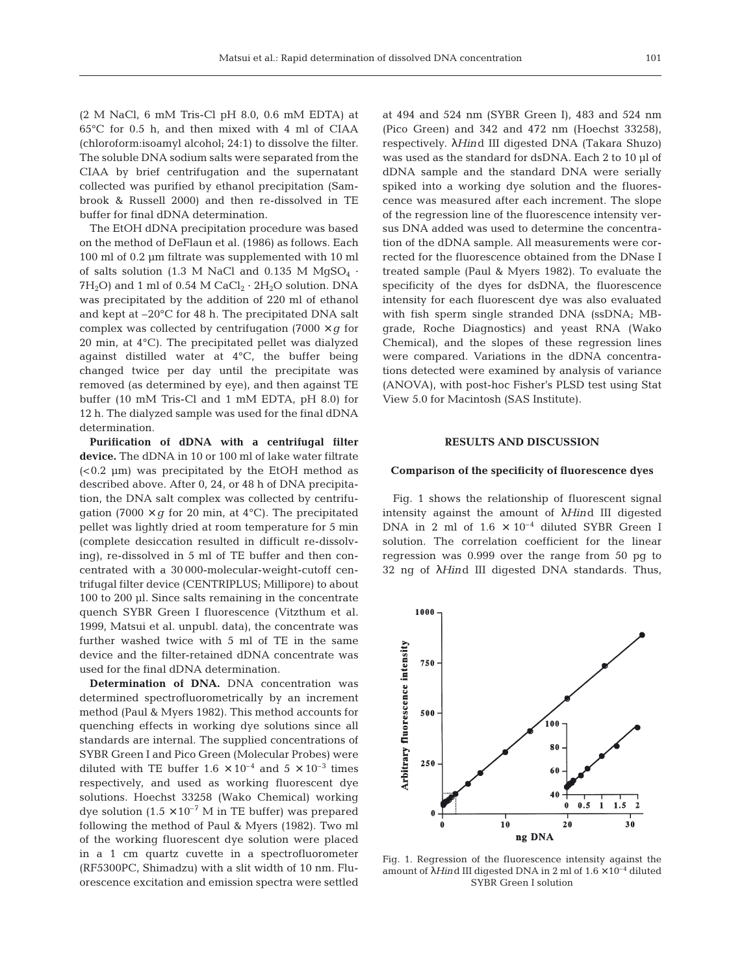(2 M NaCl, 6 mM Tris-Cl pH 8.0, 0.6 mM EDTA) at 65°C for 0.5 h, and then mixed with 4 ml of CIAA (chloroform:isoamyl alcohol; 24:1) to dissolve the filter. The soluble DNA sodium salts were separated from the CIAA by brief centrifugation and the supernatant collected was purified by ethanol precipitation (Sambrook & Russell 2000) and then re-dissolved in TE buffer for final dDNA determination.

The EtOH dDNA precipitation procedure was based on the method of DeFlaun et al. (1986) as follows. Each 100 ml of 0.2 µm filtrate was supplemented with 10 ml of salts solution (1.3 M NaCl and 0.135 M MgSO<sub>4</sub>  $\cdot$  $7H<sub>2</sub>O$ ) and 1 ml of 0.54 M CaCl<sub>2</sub> · 2H<sub>2</sub>O solution. DNA was precipitated by the addition of 220 ml of ethanol and kept at –20°C for 48 h. The precipitated DNA salt complex was collected by centrifugation (7000  $\times$  *g* for 20 min, at 4°C). The precipitated pellet was dialyzed against distilled water at 4°C, the buffer being changed twice per day until the precipitate was removed (as determined by eye), and then against TE buffer (10 mM Tris-Cl and 1 mM EDTA, pH 8.0) for 12 h. The dialyzed sample was used for the final dDNA determination.

**Purification of dDNA with a centrifugal filter device.** The dDNA in 10 or 100 ml of lake water filtrate (<0.2 µm) was precipitated by the EtOH method as described above. After 0, 24, or 48 h of DNA precipitation, the DNA salt complex was collected by centrifugation (7000  $\times$  *g* for 20 min, at 4<sup>o</sup>C). The precipitated pellet was lightly dried at room temperature for 5 min (complete desiccation resulted in difficult re-dissolving), re-dissolved in 5 ml of TE buffer and then concentrated with a 30 000-molecular-weight-cutoff centrifugal filter device (CENTRIPLUS; Millipore) to about 100 to 200 µl. Since salts remaining in the concentrate quench SYBR Green I fluorescence (Vitzthum et al. 1999, Matsui et al. unpubl. data), the concentrate was further washed twice with 5 ml of TE in the same device and the filter-retained dDNA concentrate was used for the final dDNA determination.

**Determination of DNA.** DNA concentration was determined spectrofluorometrically by an increment method (Paul & Myers 1982). This method accounts for quenching effects in working dye solutions since all standards are internal. The supplied concentrations of SYBR Green I and Pico Green (Molecular Probes) were diluted with TE buffer  $1.6 \times 10^{-4}$  and  $5 \times 10^{-3}$  times respectively, and used as working fluorescent dye solutions. Hoechst 33258 (Wako Chemical) working dye solution  $(1.5 \times 10^{-7} \text{ M} \text{ in TE buffer})$  was prepared following the method of Paul & Myers (1982). Two ml of the working fluorescent dye solution were placed in a 1 cm quartz cuvette in a spectrofluorometer (RF5300PC, Shimadzu) with a slit width of 10 nm. Fluorescence excitation and emission spectra were settled

at 494 and 524 nm (SYBR Green I), 483 and 524 nm (Pico Green) and 342 and 472 nm (Hoechst 33258), respectively. λ*Hin*d III digested DNA (Takara Shuzo) was used as the standard for dsDNA. Each 2 to 10 µl of dDNA sample and the standard DNA were serially spiked into a working dye solution and the fluorescence was measured after each increment. The slope of the regression line of the fluorescence intensity versus DNA added was used to determine the concentration of the dDNA sample. All measurements were corrected for the fluorescence obtained from the DNase I treated sample (Paul & Myers 1982). To evaluate the specificity of the dyes for dsDNA, the fluorescence intensity for each fluorescent dye was also evaluated with fish sperm single stranded DNA (ssDNA; MBgrade, Roche Diagnostics) and yeast RNA (Wako Chemical), and the slopes of these regression lines were compared. Variations in the dDNA concentrations detected were examined by analysis of variance (ANOVA), with post-hoc Fisher's PLSD test using Stat View 5.0 for Macintosh (SAS Institute).

# **RESULTS AND DISCUSSION**

#### **Comparison of the specificity of fluorescence dyes**

Fig. 1 shows the relationship of fluorescent signal intensity against the amount of λ*Hin*d III digested DNA in 2 ml of  $1.6 \times 10^{-4}$  diluted SYBR Green I solution. The correlation coefficient for the linear regression was 0.999 over the range from 50 pg to 32 ng of λ*Hin*d III digested DNA standards. Thus,



Fig. 1. Regression of the fluorescence intensity against the amount of λ*Hin*d III digested DNA in 2 ml of 1.6 × 10–4 diluted SYBR Green I solution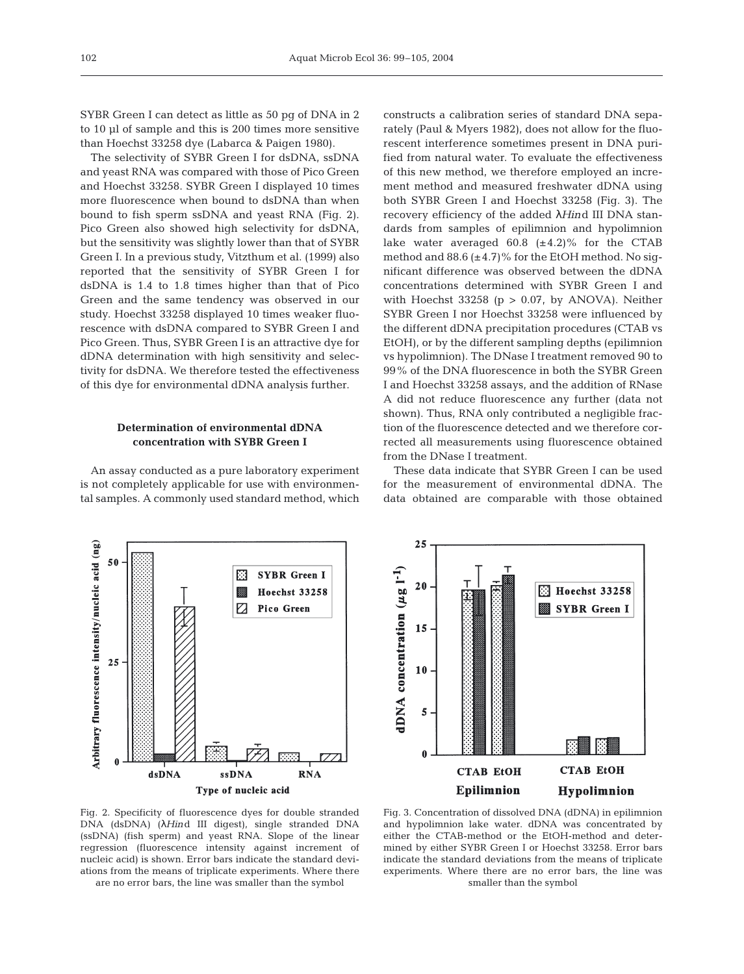SYBR Green I can detect as little as 50 pg of DNA in 2 to 10 µl of sample and this is 200 times more sensitive than Hoechst 33258 dye (Labarca & Paigen 1980).

The selectivity of SYBR Green I for dsDNA, ssDNA and yeast RNA was compared with those of Pico Green and Hoechst 33258. SYBR Green I displayed 10 times more fluorescence when bound to dsDNA than when bound to fish sperm ssDNA and yeast RNA (Fig. 2). Pico Green also showed high selectivity for dsDNA, but the sensitivity was slightly lower than that of SYBR Green I. In a previous study, Vitzthum et al. (1999) also reported that the sensitivity of SYBR Green I for dsDNA is 1.4 to 1.8 times higher than that of Pico Green and the same tendency was observed in our study. Hoechst 33258 displayed 10 times weaker fluorescence with dsDNA compared to SYBR Green I and Pico Green. Thus, SYBR Green I is an attractive dye for dDNA determination with high sensitivity and selectivity for dsDNA. We therefore tested the effectiveness of this dye for environmental dDNA analysis further.

# **Determination of environmental dDNA concentration with SYBR Green I**

An assay conducted as a pure laboratory experiment is not completely applicable for use with environmental samples. A commonly used standard method, which

constructs a calibration series of standard DNA separately (Paul & Myers 1982), does not allow for the fluorescent interference sometimes present in DNA purified from natural water. To evaluate the effectiveness of this new method, we therefore employed an increment method and measured freshwater dDNA using both SYBR Green I and Hoechst 33258 (Fig. 3). The recovery efficiency of the added λ*Hin*d III DNA standards from samples of epilimnion and hypolimnion lake water averaged  $60.8$  ( $\pm$ 4.2)% for the CTAB method and 88.6  $(\pm 4.7)$ % for the EtOH method. No significant difference was observed between the dDNA concentrations determined with SYBR Green I and with Hoechst 33258 ( $p > 0.07$ , by ANOVA). Neither SYBR Green I nor Hoechst 33258 were influenced by the different dDNA precipitation procedures (CTAB vs EtOH), or by the different sampling depths (epilimnion vs hypolimnion). The DNase I treatment removed 90 to 99% of the DNA fluorescence in both the SYBR Green I and Hoechst 33258 assays, and the addition of RNase A did not reduce fluorescence any further (data not shown). Thus, RNA only contributed a negligible fraction of the fluorescence detected and we therefore corrected all measurements using fluorescence obtained from the DNase I treatment.

These data indicate that SYBR Green I can be used for the measurement of environmental dDNA. The data obtained are comparable with those obtained





Fig. 2. Specificity of fluorescence dyes for double stranded DNA (dsDNA) (λ*Hin*d III digest), single stranded DNA (ssDNA) (fish sperm) and yeast RNA. Slope of the linear regression (fluorescence intensity against increment of nucleic acid) is shown. Error bars indicate the standard deviations from the means of triplicate experiments. Where there

are no error bars, the line was smaller than the symbol

Fig. 3. Concentration of dissolved DNA (dDNA) in epilimnion and hypolimnion lake water. dDNA was concentrated by either the CTAB-method or the EtOH-method and determined by either SYBR Green I or Hoechst 33258. Error bars indicate the standard deviations from the means of triplicate experiments. Where there are no error bars, the line was smaller than the symbol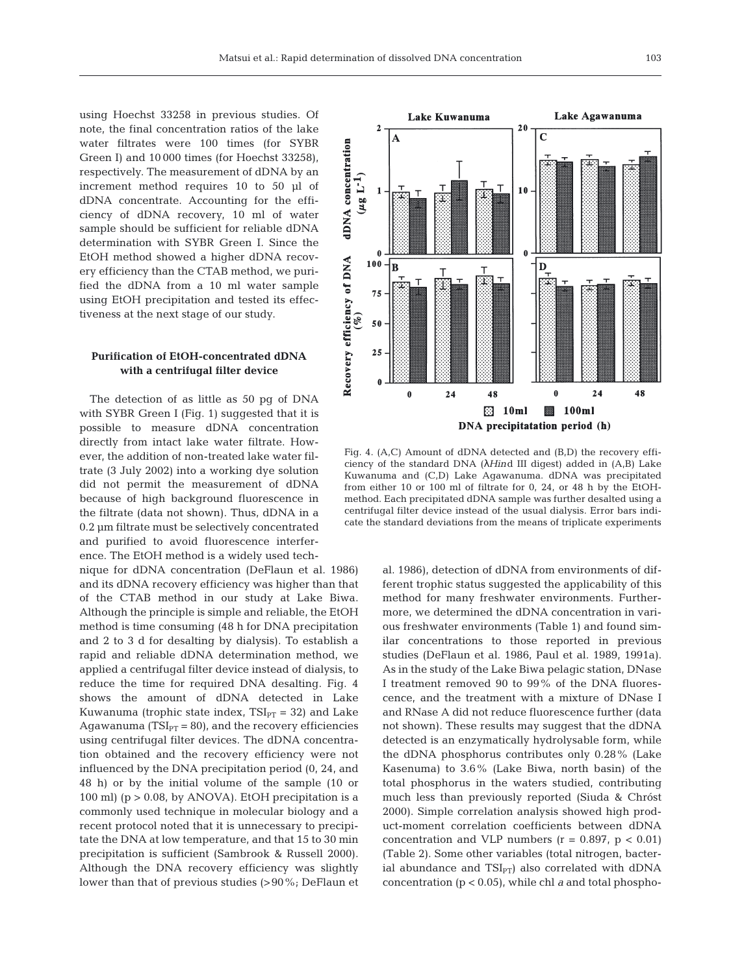using Hoechst 33258 in previous studies. Of note, the final concentration ratios of the lake water filtrates were 100 times (for SYBR Green I) and 10 000 times (for Hoechst 33258), respectively. The measurement of dDNA by an increment method requires 10 to 50 µl of dDNA concentrate. Accounting for the efficiency of dDNA recovery, 10 ml of water sample should be sufficient for reliable dDNA determination with SYBR Green I. Since the EtOH method showed a higher dDNA recovery efficiency than the CTAB method, we purified the dDNA from a 10 ml water sample using EtOH precipitation and tested its effectiveness at the next stage of our study.

# **Purification of EtOH-concentrated dDNA with a centrifugal filter device**

The detection of as little as 50 pg of DNA with SYBR Green I (Fig. 1) suggested that it is possible to measure dDNA concentration directly from intact lake water filtrate. However, the addition of non-treated lake water filtrate (3 July 2002) into a working dye solution did not permit the measurement of dDNA because of high background fluorescence in the filtrate (data not shown). Thus, dDNA in a 0.2 µm filtrate must be selectively concentrated and purified to avoid fluorescence interference. The EtOH method is a widely used tech-

nique for dDNA concentration (DeFlaun et al. 1986) and its dDNA recovery efficiency was higher than that of the CTAB method in our study at Lake Biwa. Although the principle is simple and reliable, the EtOH method is time consuming (48 h for DNA precipitation and 2 to 3 d for desalting by dialysis). To establish a rapid and reliable dDNA determination method, we applied a centrifugal filter device instead of dialysis, to reduce the time for required DNA desalting. Fig. 4 shows the amount of dDNA detected in Lake Kuwanuma (trophic state index,  $TSI_{PT} = 32$ ) and Lake Agawanuma ( $TSI<sub>PT</sub> = 80$ ), and the recovery efficiencies using centrifugal filter devices. The dDNA concentration obtained and the recovery efficiency were not influenced by the DNA precipitation period (0, 24, and 48 h) or by the initial volume of the sample (10 or 100 ml) (p > 0.08, by ANOVA). EtOH precipitation is a commonly used technique in molecular biology and a recent protocol noted that it is unnecessary to precipitate the DNA at low temperature, and that 15 to 30 min precipitation is sufficient (Sambrook & Russell 2000). Although the DNA recovery efficiency was slightly lower than that of previous studies (>90%; DeFlaun et



Fig. 4. (A,C) Amount of dDNA detected and (B,D) the recovery efficiency of the standard DNA (λ*Hin*d III digest) added in (A,B) Lake Kuwanuma and (C,D) Lake Agawanuma. dDNA was precipitated from either 10 or 100 ml of filtrate for 0, 24, or 48 h by the EtOHmethod. Each precipitated dDNA sample was further desalted using a centrifugal filter device instead of the usual dialysis. Error bars indicate the standard deviations from the means of triplicate experiments

al. 1986), detection of dDNA from environments of different trophic status suggested the applicability of this method for many freshwater environments. Furthermore, we determined the dDNA concentration in various freshwater environments (Table 1) and found similar concentrations to those reported in previous studies (DeFlaun et al. 1986, Paul et al. 1989, 1991a). As in the study of the Lake Biwa pelagic station, DNase I treatment removed 90 to 99% of the DNA fluorescence, and the treatment with a mixture of DNase I and RNase A did not reduce fluorescence further (data not shown). These results may suggest that the dDNA detected is an enzymatically hydrolysable form, while the dDNA phosphorus contributes only 0.28% (Lake Kasenuma) to 3.6% (Lake Biwa, north basin) of the total phosphorus in the waters studied, contributing much less than previously reported (Siuda & Chróst 2000). Simple correlation analysis showed high product-moment correlation coefficients between dDNA concentration and VLP numbers ( $r = 0.897$ ,  $p < 0.01$ ) (Table 2). Some other variables (total nitrogen, bacterial abundance and  $TSI_{PT}$ ) also correlated with dDNA concentration (p < 0.05), while chl *a* and total phospho-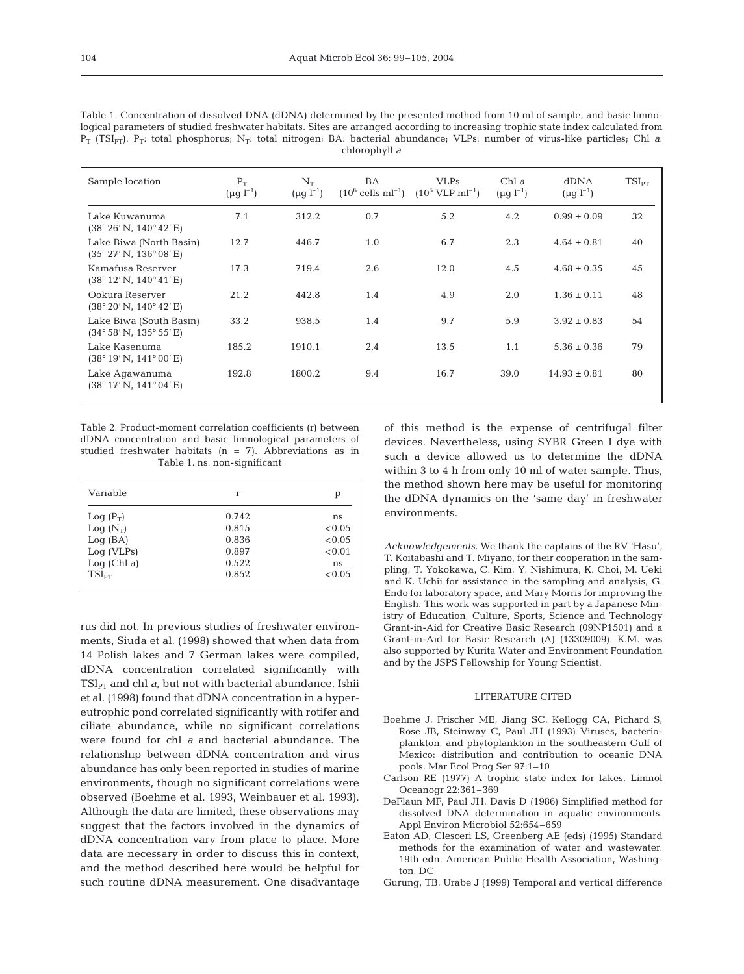| Sample location                                                    | $P_T$<br>$(\mu g l^{-1})$ | $N_T$<br>$(\mu q l^{-1})$ | BA<br>$(10^6 \text{ cells} \text{ ml}^{-1})$ | <b>VLPs</b><br>$(10^6$ VLP ml <sup>-1</sup> ) | Chl $\alpha$<br>$(\mu q l^{-1})$ | <b>dDNA</b><br>$(\mu q l^{-1})$ | $TSI_{PT}$ |
|--------------------------------------------------------------------|---------------------------|---------------------------|----------------------------------------------|-----------------------------------------------|----------------------------------|---------------------------------|------------|
| Lake Kuwanuma<br>(38° 26' N, 140° 42' E)                           | 7.1                       | 312.2                     | 0.7                                          | 5.2                                           | 4.2                              | $0.99 \pm 0.09$                 | 32         |
| Lake Biwa (North Basin)<br>$(35^{\circ} 27' N, 136^{\circ} 08' E)$ | 12.7                      | 446.7                     | 1.0                                          | 6.7                                           | 2.3                              | $4.64 \pm 0.81$                 | 40         |
| Kamafusa Reserver<br>(38° 12' N, 140° 41' E)                       | 17.3                      | 719.4                     | 2.6                                          | 12.0                                          | 4.5                              | $4.68 \pm 0.35$                 | 45         |
| Ookura Reserver<br>(38° 20' N, 140° 42' E)                         | 21.2                      | 442.8                     | 1.4                                          | 4.9                                           | 2.0                              | $1.36 \pm 0.11$                 | 48         |
| Lake Biwa (South Basin)<br>$(34^{\circ}58' N, 135^{\circ}55' E)$   | 33.2                      | 938.5                     | 1.4                                          | 9.7                                           | 5.9                              | $3.92 \pm 0.83$                 | 54         |
| Lake Kasenuma<br>$(38^{\circ} 19' N, 141^{\circ} 00' E)$           | 185.2                     | 1910.1                    | 2.4                                          | 13.5                                          | 1.1                              | $5.36 \pm 0.36$                 | 79         |
| Lake Agawanuma<br>(38°17' N, 141°04' E)                            | 192.8                     | 1800.2                    | 9.4                                          | 16.7                                          | 39.0                             | $14.93 \pm 0.81$                | 80         |
|                                                                    |                           |                           |                                              |                                               |                                  |                                 |            |

Table 1. Concentration of dissolved DNA (dDNA) determined by the presented method from 10 ml of sample, and basic limnological parameters of studied freshwater habitats. Sites are arranged according to increasing trophic state index calculated from  $P_T$  (TSI<sub>PT</sub>).  $P_T$ : total phosphorus; N<sub>T</sub>: total nitrogen; BA: bacterial abundance; VLPs: number of virus-like particles; Chl *a*: chlorophyll *a*

Table 2. Product-moment correlation coefficients (r) between dDNA concentration and basic limnological parameters of studied freshwater habitats  $(n = 7)$ . Abbreviations as in Table 1. ns: non-significant

| Variable    | r     | р      |
|-------------|-------|--------|
| $Log(P_T)$  | 0.742 | ns     |
| $Log(N_T)$  | 0.815 | < 0.05 |
| Log(BA)     | 0.836 | < 0.05 |
| Log (VLPs)  | 0.897 | < 0.01 |
| Log (Chl a) | 0.522 | ns     |
| $TSI_{PT}$  | 0.852 | < 0.05 |
|             |       |        |

rus did not. In previous studies of freshwater environments, Siuda et al. (1998) showed that when data from 14 Polish lakes and 7 German lakes were compiled, dDNA concentration correlated significantly with  $TSI_{PT}$  and chl  $a_i$ , but not with bacterial abundance. Ishii et al. (1998) found that dDNA concentration in a hypereutrophic pond correlated significantly with rotifer and ciliate abundance, while no significant correlations were found for chl *a* and bacterial abundance. The relationship between dDNA concentration and virus abundance has only been reported in studies of marine environments, though no significant correlations were observed (Boehme et al. 1993, Weinbauer et al. 1993). Although the data are limited, these observations may suggest that the factors involved in the dynamics of dDNA concentration vary from place to place. More data are necessary in order to discuss this in context, and the method described here would be helpful for such routine dDNA measurement. One disadvantage

of this method is the expense of centrifugal filter devices. Nevertheless, using SYBR Green I dye with such a device allowed us to determine the dDNA within 3 to 4 h from only 10 ml of water sample. Thus, the method shown here may be useful for monitoring the dDNA dynamics on the 'same day' in freshwater environments.

*Acknowledgements*. We thank the captains of the RV 'Hasu', T. Koitabashi and T. Miyano, for their cooperation in the sampling, T. Yokokawa, C. Kim, Y. Nishimura, K. Choi, M. Ueki and K. Uchii for assistance in the sampling and analysis, G. Endo for laboratory space, and Mary Morris for improving the English. This work was supported in part by a Japanese Ministry of Education, Culture, Sports, Science and Technology Grant-in-Aid for Creative Basic Research (09NP1501) and a Grant-in-Aid for Basic Research (A) (13309009). K.M. was also supported by Kurita Water and Environment Foundation and by the JSPS Fellowship for Young Scientist.

#### LITERATURE CITED

- Boehme J, Frischer ME, Jiang SC, Kellogg CA, Pichard S, Rose JB, Steinway C, Paul JH (1993) Viruses, bacterioplankton, and phytoplankton in the southeastern Gulf of Mexico: distribution and contribution to oceanic DNA pools. Mar Ecol Prog Ser 97:1–10
- Carlson RE (1977) A trophic state index for lakes. Limnol Oceanogr 22:361–369
- DeFlaun MF, Paul JH, Davis D (1986) Simplified method for dissolved DNA determination in aquatic environments. Appl Environ Microbiol 52:654–659
- Eaton AD, Clesceri LS, Greenberg AE (eds) (1995) Standard methods for the examination of water and wastewater. 19th edn. American Public Health Association, Washington, DC
- Gurung, TB, Urabe J (1999) Temporal and vertical difference